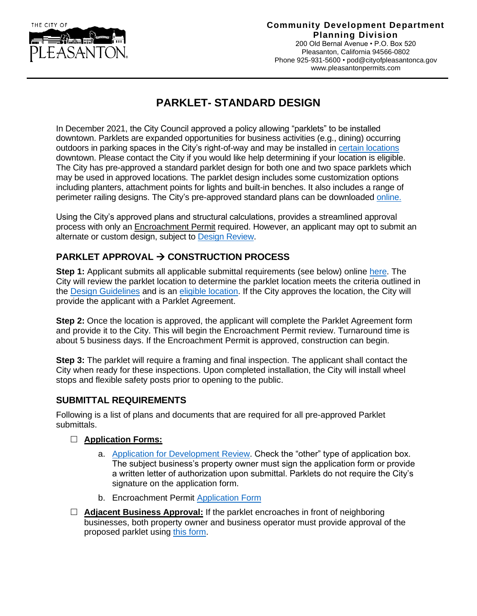

## **Community Development Department Planning Division**

200 Old Bernal Avenue • P.O. Box 520 Pleasanton, California 94566-0802 Phone 925-931-5600 [• pod@cityofpleasantonca.gov](mailto:pod@cityofpleasantonca.gov) www.pleasantonpermits.com

## **PARKLET- STANDARD DESIGN**

In December 2021, the City Council approved a policy allowing "parklets" to be installed downtown. Parklets are expanded opportunities for business activities (e.g., dining) occurring outdoors in parking spaces in the City's right-of-way and may be installed in [certain locations](http://www.cityofpleasantonca.gov/civicax/filebank/blobdload.aspx?BlobID=35979) downtown. Please contact the City if you would like help determining if your location is eligible. The City has pre-approved a standard parklet design for both one and two space parklets which may be used in approved locations. The parklet design includes some customization options including planters, attachment points for lights and built-in benches. It also includes a range of perimeter railing designs. The City's pre-approved standard plans can be downloaded [online.](http://www.cityofpleasantonca.gov/gov/depts/cd/planning/plans_n_programs/parklet.asp)

Using the City's approved plans and structural calculations, provides a streamlined approval process with only an **Encroachment Permit required.** However, an applicant may opt to submit an alternate or custom design, subject to [Design Review.](http://www.cityofpleasantonca.gov/civicax/filebank/blobdload.aspx?BlobID=35982)

## **PARKLET APPROVAL** → **CONSTRUCTION PROCESS**

**Step 1:** Applicant submits all applicable submittal requirements (see below) online [here.](http://www.cityofpleasantonca.gov/gov/depts/cd/planning/electronic_planning_submittal.asp) The City will review the parklet location to determine the parklet location meets the criteria outlined in the [Design Guidelines](http://www.cityofpleasantonca.gov/civicax/filebank/blobdload.aspx?BlobID=35980) and is an [eligible location.](http://www.cityofpleasantonca.gov/civicax/filebank/blobdload.aspx?BlobID=35979) If the City approves the location, the City will provide the applicant with a Parklet Agreement.

**Step 2:** Once the location is approved, the applicant will complete the Parklet Agreement form and provide it to the City. This will begin the Encroachment Permit review. Turnaround time is about 5 business days. If the Encroachment Permit is approved, construction can begin.

**Step 3:** The parklet will require a framing and final inspection. The applicant shall contact the City when ready for these inspections. Upon completed installation, the City will install wheel stops and flexible safety posts prior to opening to the public.

## **SUBMITTAL REQUIREMENTS**

Following is a list of plans and documents that are required for all pre-approved Parklet submittals.

- **Application Forms:**
	- a. Application for [Development Review.](http://www.cityofpleasantonca.gov/civicax/filebank/blobdload.aspx?BlobID=35927) Check the "other" type of application box. The subject business's property owner must sign the application form or provide a written letter of authorization upon submittal. Parklets do not require the City's signature on the application form.
	- b. Encroachment Permit [Application Form](http://www.cityofpleasantonca.gov/civicax/filebank/blobdload.aspx?BlobID=34364)
- **Adjacent Business Approval:** If the parklet encroaches in front of neighboring businesses, both property owner and business operator must provide approval of the proposed parklet using [this form.](http://www.cityofpleasantonca.gov/civicax/filebank/blobdload.aspx?BlobID=35981)